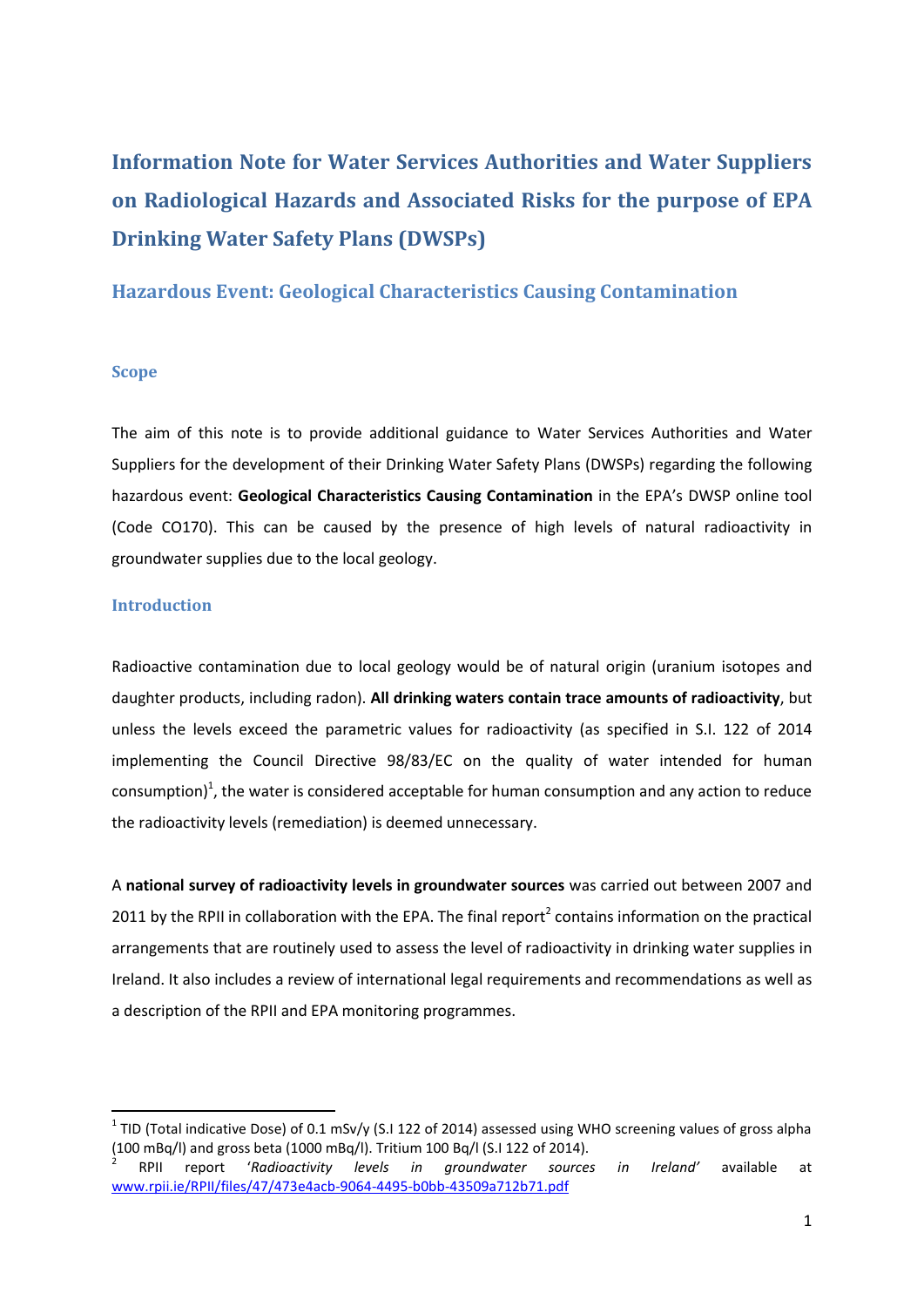# **Information Note for Water Services Authorities and Water Suppliers on Radiological Hazards and Associated Risks for the purpose of EPA Drinking Water Safety Plans (DWSPs)**

## **Hazardous Event: Geological Characteristics Causing Contamination**

#### **Scope**

The aim of this note is to provide additional guidance to Water Services Authorities and Water Suppliers for the development of their Drinking Water Safety Plans (DWSPs) regarding the following hazardous event: **Geological Characteristics Causing Contamination** in the EPA's DWSP online tool (Code CO170). This can be caused by the presence of high levels of natural radioactivity in groundwater supplies due to the local geology.

#### **Introduction**

**.** 

Radioactive contamination due to local geology would be of natural origin (uranium isotopes and daughter products, including radon). **All drinking waters contain trace amounts of radioactivity**, but unless the levels exceed the parametric values for radioactivity (as specified in S.I. 122 of 2014 implementing the Council Directive 98/83/EC on the quality of water intended for human consumption)<sup>1</sup>, the water is considered acceptable for human consumption and any action to reduce the radioactivity levels (remediation) is deemed unnecessary.

A **national survey of radioactivity levels in groundwater sources** was carried out between 2007 and 2011 by the RPII in collaboration with the EPA. The final report<sup>2</sup> contains information on the practical arrangements that are routinely used to assess the level of radioactivity in drinking water supplies in Ireland. It also includes a review of international legal requirements and recommendations as well as a description of the RPII and EPA monitoring programmes.

<sup>&</sup>lt;sup>1</sup> TID (Total indicative Dose) of 0.1 mSv/y (S.I 122 of 2014) assessed using WHO screening values of gross alpha (100 mBq/l) and gross beta (1000 mBq/l). Tritium 100 Bq/l (S.I 122 of 2014).

<sup>2</sup> RPII report '*Radioactivity levels in groundwater sources in Ireland'* available at [www.rpii.ie/RPII/files/47/473e4acb-9064-4495-b0bb-43509a712b71.pdf](http://www.rpii.ie/RPII/files/47/473e4acb-9064-4495-b0bb-43509a712b71.pdf)